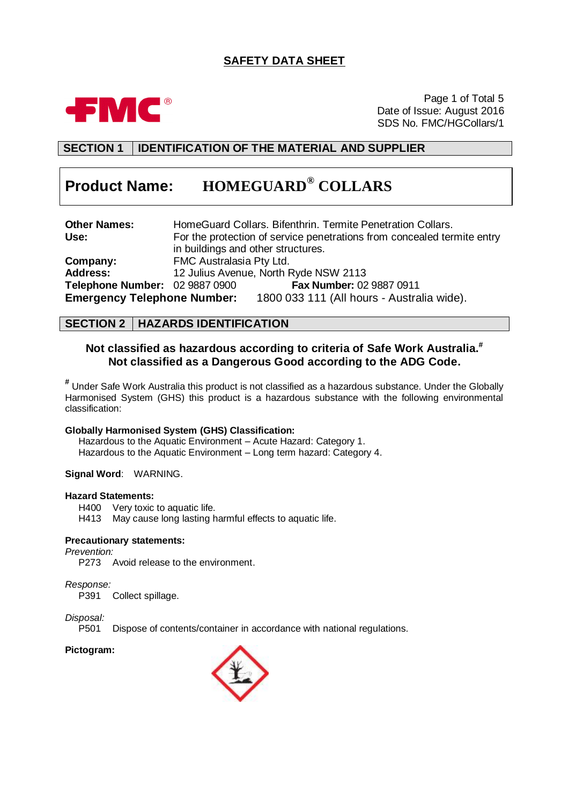# **SAFETY DATA SHEET**



Page 1 of Total 5 Date of Issue: August 2016 SDS No. FMC/HGCollars/1

# **SECTION 1 IDENTIFICATION OF THE MATERIAL AND SUPPLIER**

# **Product Name: HOMEGUARD® COLLARS**

| <b>Other Names:</b>                |                                    | HomeGuard Collars. Bifenthrin. Termite Penetration Collars.             |
|------------------------------------|------------------------------------|-------------------------------------------------------------------------|
| Use:                               |                                    | For the protection of service penetrations from concealed termite entry |
|                                    | in buildings and other structures. |                                                                         |
| Company:                           | FMC Australasia Pty Ltd.           |                                                                         |
| <b>Address:</b>                    |                                    | 12 Julius Avenue, North Ryde NSW 2113                                   |
| Telephone Number: 02 9887 0900     |                                    | <b>Fax Number: 02 9887 0911</b>                                         |
| <b>Emergency Telephone Number:</b> |                                    | 1800 033 111 (All hours - Australia wide).                              |

## **SECTION 2 HAZARDS IDENTIFICATION**

## **Not classified as hazardous according to criteria of Safe Work Australia. # Not classified as a Dangerous Good according to the ADG Code.**

**#** Under Safe Work Australia this product is not classified as a hazardous substance. Under the Globally Harmonised System (GHS) this product is a hazardous substance with the following environmental classification:

#### **Globally Harmonised System (GHS) Classification:**

Hazardous to the Aquatic Environment – Acute Hazard: Category 1. Hazardous to the Aquatic Environment – Long term hazard: Category 4.

#### **Signal Word**: WARNING.

#### **Hazard Statements:**

H400 Very toxic to aquatic life.

H413 May cause long lasting harmful effects to aquatic life.

#### **Precautionary statements:**

#### *Prevention:*

P273 Avoid release to the environment.

*Response:*

P391 Collect spillage.

# *Disposal:*

Dispose of contents/container in accordance with national regulations.

#### **Pictogram:**

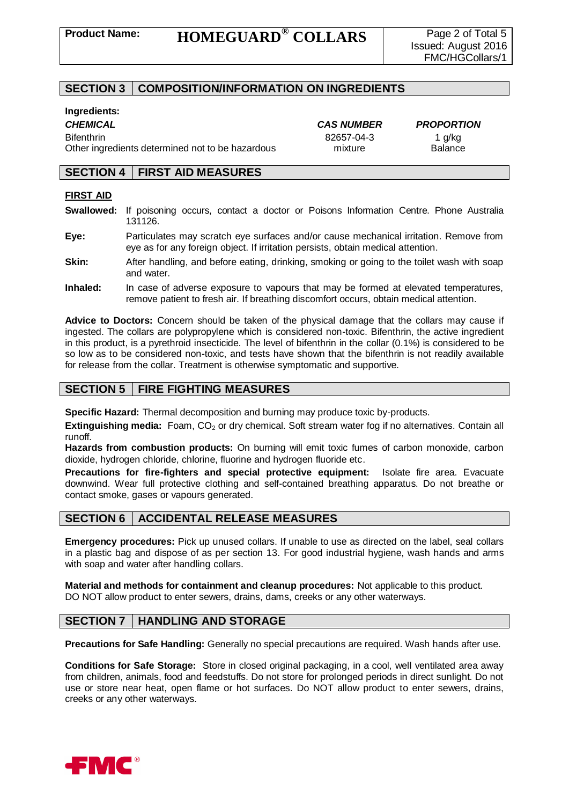## **SECTION 3 COMPOSITION/INFORMATION ON INGREDIENTS**

#### **Ingredients:**

Bifenthrin 82657-04-3 1 g/kg Other ingredients determined not to be hazardous mixture Balance

*CHEMICAL CAS NUMBER PROPORTION*

## **SECTION 4 FIRST AID MEASURES**

#### **FIRST AID**

- **Swallowed:** If poisoning occurs, contact a doctor or Poisons Information Centre. Phone Australia 131126.
- **Eye:** Particulates may scratch eye surfaces and/or cause mechanical irritation. Remove from eye as for any foreign object. If irritation persists, obtain medical attention.
- **Skin:** After handling, and before eating, drinking, smoking or going to the toilet wash with soap and water.
- **Inhaled:** In case of adverse exposure to vapours that may be formed at elevated temperatures, remove patient to fresh air. If breathing discomfort occurs, obtain medical attention.

**Advice to Doctors:** Concern should be taken of the physical damage that the collars may cause if ingested. The collars are polypropylene which is considered non-toxic. Bifenthrin, the active ingredient in this product, is a pyrethroid insecticide. The level of bifenthrin in the collar (0.1%) is considered to be so low as to be considered non-toxic, and tests have shown that the bifenthrin is not readily available for release from the collar. Treatment is otherwise symptomatic and supportive.

# **SECTION 5 FIRE FIGHTING MEASURES**

**Specific Hazard:** Thermal decomposition and burning may produce toxic by-products.

**Extinguishing media:** Foam, CO<sub>2</sub> or dry chemical. Soft stream water fog if no alternatives. Contain all runoff.

**Hazards from combustion products:** On burning will emit toxic fumes of carbon monoxide, carbon dioxide, hydrogen chloride, chlorine, fluorine and hydrogen fluoride etc.

**Precautions for fire-fighters and special protective equipment:** Isolate fire area. Evacuate downwind. Wear full protective clothing and self-contained breathing apparatus. Do not breathe or contact smoke, gases or vapours generated.

## **SECTION 6 ACCIDENTAL RELEASE MEASURES**

**Emergency procedures:** Pick up unused collars. If unable to use as directed on the label, seal collars in a plastic bag and dispose of as per section 13. For good industrial hygiene, wash hands and arms with soap and water after handling collars.

**Material and methods for containment and cleanup procedures:** Not applicable to this product. DO NOT allow product to enter sewers, drains, dams, creeks or any other waterways.

## **SECTION 7 HANDLING AND STORAGE**

**Precautions for Safe Handling:** Generally no special precautions are required. Wash hands after use.

**Conditions for Safe Storage:** Store in closed original packaging, in a cool, well ventilated area away from children, animals, food and feedstuffs. Do not store for prolonged periods in direct sunlight. Do not use or store near heat, open flame or hot surfaces. Do NOT allow product to enter sewers, drains, creeks or any other waterways.

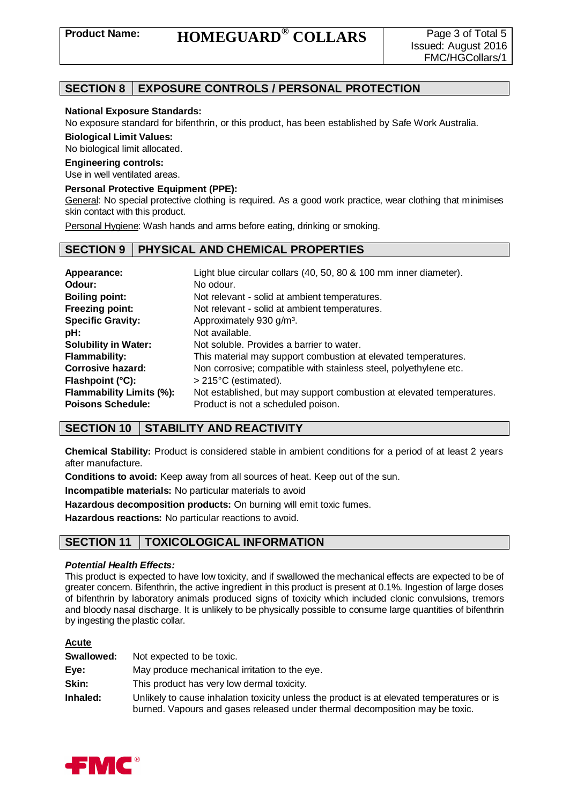# **SECTION 8 EXPOSURE CONTROLS / PERSONAL PROTECTION**

#### **National Exposure Standards:**

No exposure standard for bifenthrin, or this product, has been established by Safe Work Australia.

**Biological Limit Values:**

No biological limit allocated.

#### **Engineering controls:**

Use in well ventilated areas.

#### **Personal Protective Equipment (PPE):**

General: No special protective clothing is required. As a good work practice, wear clothing that minimises skin contact with this product.

Personal Hygiene: Wash hands and arms before eating, drinking or smoking.

## **SECTION 9 PHYSICAL AND CHEMICAL PROPERTIES**

| Appearance:<br>Odour:           | Light blue circular collars (40, 50, 80 & 100 mm inner diameter).<br>No odour. |
|---------------------------------|--------------------------------------------------------------------------------|
| <b>Boiling point:</b>           | Not relevant - solid at ambient temperatures.                                  |
| Freezing point:                 | Not relevant - solid at ambient temperatures.                                  |
| <b>Specific Gravity:</b>        | Approximately 930 g/m <sup>3</sup> .                                           |
| pH:                             | Not available.                                                                 |
| <b>Solubility in Water:</b>     | Not soluble. Provides a barrier to water.                                      |
| <b>Flammability:</b>            | This material may support combustion at elevated temperatures.                 |
| <b>Corrosive hazard:</b>        | Non corrosive; compatible with stainless steel, polyethylene etc.              |
| Flashpoint (°C):                | $>215^{\circ}$ C (estimated).                                                  |
| <b>Flammability Limits (%):</b> | Not established, but may support combustion at elevated temperatures.          |
| <b>Poisons Schedule:</b>        | Product is not a scheduled poison.                                             |

# **SECTION 10 STABILITY AND REACTIVITY**

**Chemical Stability:** Product is considered stable in ambient conditions for a period of at least 2 years after manufacture.

**Conditions to avoid:** Keep away from all sources of heat. Keep out of the sun.

**Incompatible materials:** No particular materials to avoid

**Hazardous decomposition products:** On burning will emit toxic fumes.

**Hazardous reactions:** No particular reactions to avoid.

# **SECTION 11 TOXICOLOGICAL INFORMATION**

#### *Potential Health Effects:*

This product is expected to have low toxicity, and if swallowed the mechanical effects are expected to be of greater concern. Bifenthrin, the active ingredient in this product is present at 0.1%. Ingestion of large doses of bifenthrin by laboratory animals produced signs of toxicity which included clonic convulsions, tremors and bloody nasal discharge. It is unlikely to be physically possible to consume large quantities of bifenthrin by ingesting the plastic collar.

#### **Acute**

| Swallowed: | Not expected to be toxic.                                                                                                                                                  |
|------------|----------------------------------------------------------------------------------------------------------------------------------------------------------------------------|
| Eye:       | May produce mechanical irritation to the eye.                                                                                                                              |
| Skin:      | This product has very low dermal toxicity.                                                                                                                                 |
| Inhaled:   | Unlikely to cause inhalation toxicity unless the product is at elevated temperatures or is<br>burned. Vapours and gases released under thermal decomposition may be toxic. |

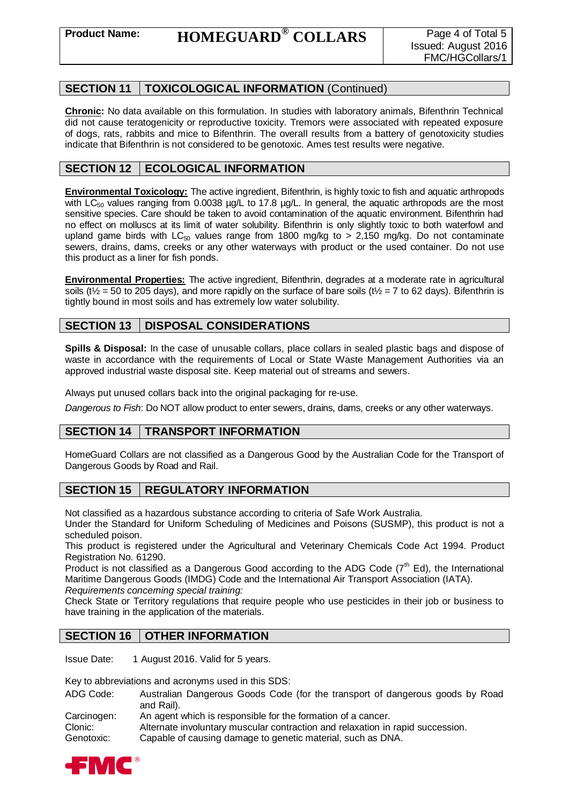# **SECTION 11 TOXICOLOGICAL INFORMATION** (Continued)

**Chronic:** No data available on this formulation. In studies with laboratory animals, Bifenthrin Technical did not cause teratogenicity or reproductive toxicity. Tremors were associated with repeated exposure of dogs, rats, rabbits and mice to Bifenthrin. The overall results from a battery of genotoxicity studies indicate that Bifenthrin is not considered to be genotoxic. Ames test results were negative.

# **SECTION 12 | ECOLOGICAL INFORMATION**

**Environmental Toxicology:** The active ingredient, Bifenthrin, is highly toxic to fish and aquatic arthropods with  $LC_{50}$  values ranging from 0.0038 µg/L to 17.8 µg/L. In general, the aquatic arthropods are the most sensitive species. Care should be taken to avoid contamination of the aquatic environment. Bifenthrin had no effect on molluscs at its limit of water solubility. Bifenthrin is only slightly toxic to both waterfowl and upland game birds with LC<sub>50</sub> values range from 1800 mg/kg to  $> 2,150$  mg/kg. Do not contaminate sewers, drains, dams, creeks or any other waterways with product or the used container. Do not use this product as a liner for fish ponds.

**Environmental Properties:** The active ingredient, Bifenthrin, degrades at a moderate rate in agricultural soils ( $t\frac{1}{2}$  = 50 to 205 days), and more rapidly on the surface of bare soils ( $t\frac{1}{2}$  = 7 to 62 days). Bifenthrin is tightly bound in most soils and has extremely low water solubility.

# **SECTION 13 DISPOSAL CONSIDERATIONS**

**Spills & Disposal:** In the case of unusable collars, place collars in sealed plastic bags and dispose of waste in accordance with the requirements of Local or State Waste Management Authorities via an approved industrial waste disposal site. Keep material out of streams and sewers.

Always put unused collars back into the original packaging for re-use.

*Dangerous to Fish*: Do NOT allow product to enter sewers, drains, dams, creeks or any other waterways.

# **SECTION 14 TRANSPORT INFORMATION**

HomeGuard Collars are not classified as a Dangerous Good by the Australian Code for the Transport of Dangerous Goods by Road and Rail.

# **SECTION 15 | REGULATORY INFORMATION**

Not classified as a hazardous substance according to criteria of Safe Work Australia.

Under the Standard for Uniform Scheduling of Medicines and Poisons (SUSMP), this product is not a scheduled poison.

This product is registered under the Agricultural and Veterinary Chemicals Code Act 1994. Product Registration No. 61290.

Product is not classified as a Dangerous Good according to the ADG Code  $(7<sup>th</sup>$  Ed), the International Maritime Dangerous Goods (IMDG) Code and the International Air Transport Association (IATA). *Requirements concerning special training:*

Check State or Territory regulations that require people who use pesticides in their job or business to have training in the application of the materials.

## **SECTION 16 OTHER INFORMATION**

Issue Date: 1 August 2016. Valid for 5 years.

Key to abbreviations and acronyms used in this SDS:

- ADG Code: Australian Dangerous Goods Code (for the transport of dangerous goods by Road and Rail).
- Carcinogen: An agent which is responsible for the formation of a cancer.
- Clonic: Alternate involuntary muscular contraction and relaxation in rapid succession.

Genotoxic: Capable of causing damage to genetic material, such as DNA.